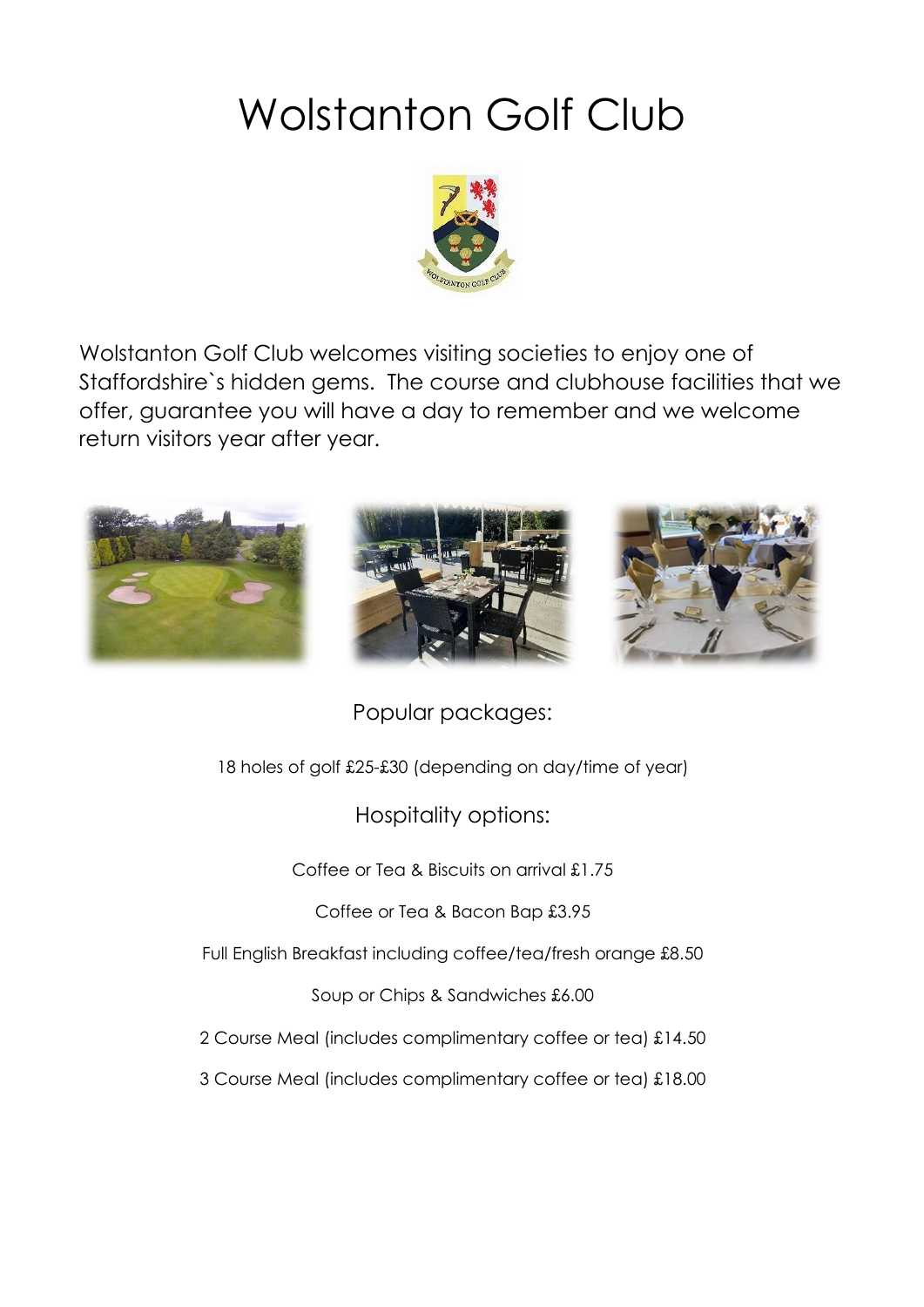# Wolstanton Golf Club



Wolstanton Golf Club welcomes visiting societies to enjoy one of Staffordshire`s hidden gems. The course and clubhouse facilities that we offer, guarantee you will have a day to remember and we welcome return visitors year after year.



Popular packages:

18 holes of golf £25-£30 (depending on day/time of year)

Hospitality options:

Coffee or Tea & Biscuits on arrival £1.75

Coffee or Tea & Bacon Bap £3.95

Full English Breakfast including coffee/tea/fresh orange £8.50

Soup or Chips & Sandwiches £6.00

2 Course Meal (includes complimentary coffee or tea) £14.50

3 Course Meal (includes complimentary coffee or tea) £18.00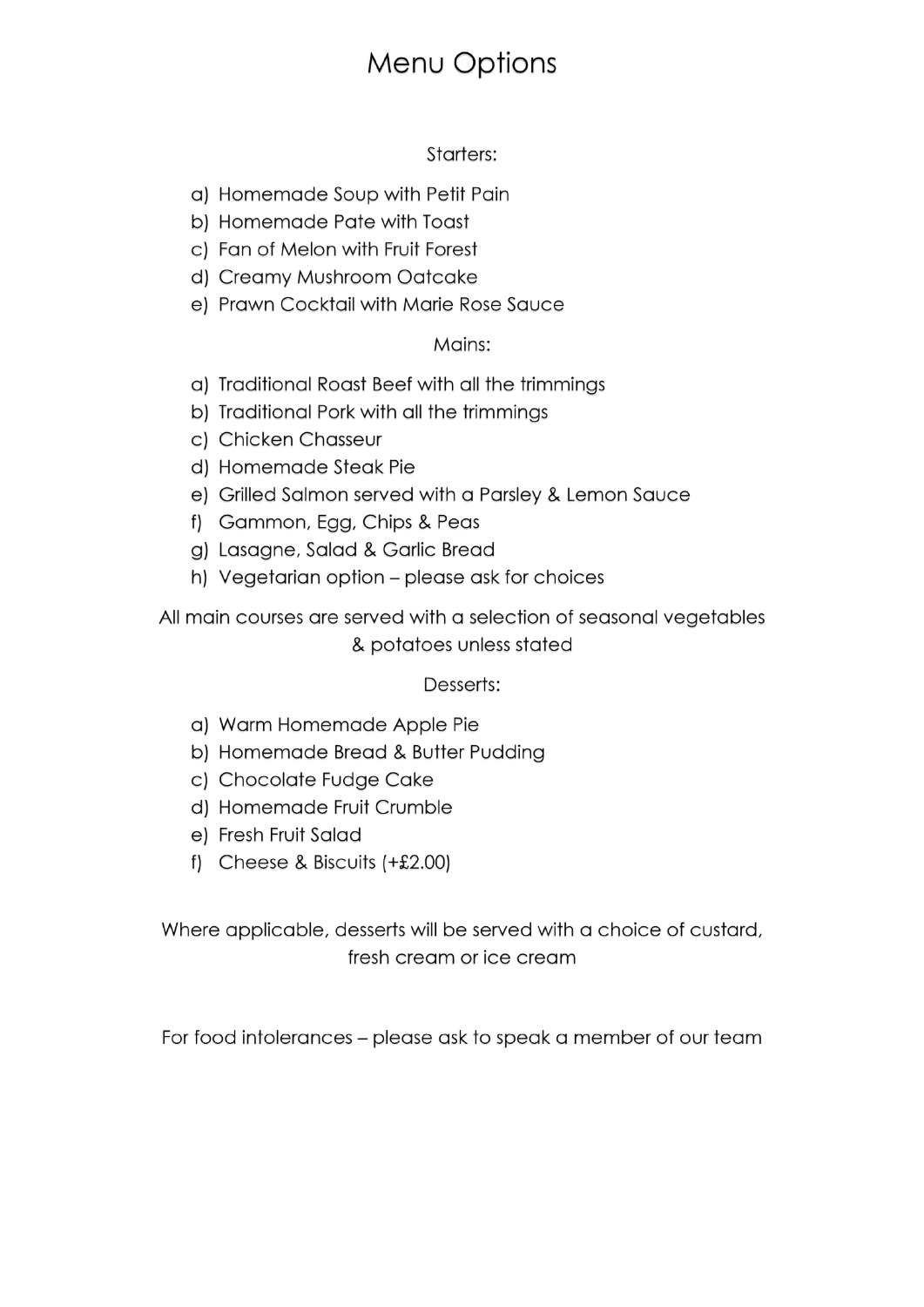### Menu Options

#### Starters:

- a) Homemade Soup with Petit Pain
- b) Homemade Pate with Toast
- c) Fan of Melon with Fruit Forest
- d) Creamy Mushroom Oatcake
- e) Prawn Cocktail with Marie Rose Sauce

#### Mains:

- a) Traditional Roast Beef with all the trimmings
- b) Traditional Pork with all the trimmings
- c) Chicken Chasseur
- d) Homemade Steak Pie
- e) Grilled Salmon served with a Parsley & Lemon Sauce
- f) Gammon, Egg, Chips & Peas
- g) Lasagne, Salad & Garlic Bread
- h) Vegetarian option please ask for choices

All main courses are served with a selection of seasonal vegetables & potatoes unless stated

#### Desserts:

- a) Warm Homemade Apple Pie
- b) Homemade Bread & Butter Pudding
- c) Chocolate Fudge Cake
- d) Homemade Fruit Crumble
- e) Fresh Fruit Salad
- f) Cheese & Biscuits  $(+£2.00)$

Where applicable, desserts will be served with a choice of custard, fresh cream or ice cream

For food intolerances – please ask to speak a member of our team